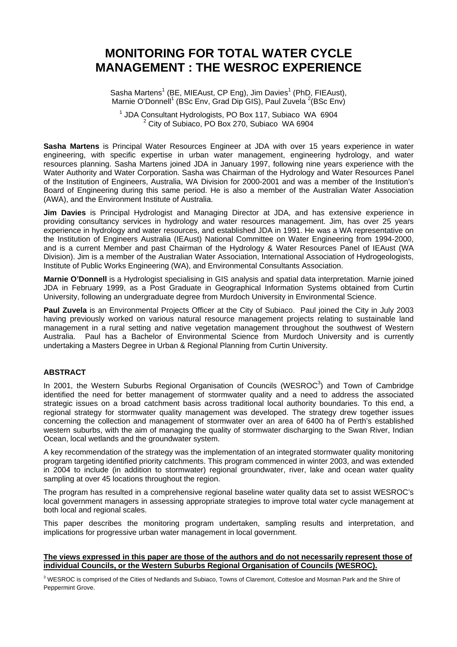# **MONITORING FOR TOTAL WATER CYCLE MANAGEMENT : THE WESROC EXPERIENCE**

Sasha Martens<sup>1</sup> (BE, MIEAust, CP Eng), Jim Davies<sup>1</sup> (PhD, FIEAust), Marnie O'Donnell<sup>1</sup> (BSc Env, Grad Dip GIS), Paul Zuvela <sup>2</sup>(BSc Env)

<sup>1</sup> JDA Consultant Hydrologists, PO Box 117, Subiaco WA 6904  $2$  City of Subiaco, PO Box 270, Subiaco WA 6904

**Sasha Martens** is Principal Water Resources Engineer at JDA with over 15 years experience in water engineering, with specific expertise in urban water management, engineering hydrology, and water resources planning. Sasha Martens joined JDA in January 1997, following nine years experience with the Water Authority and Water Corporation. Sasha was Chairman of the Hydrology and Water Resources Panel of the Institution of Engineers, Australia, WA Division for 2000-2001 and was a member of the Institution's Board of Engineering during this same period. He is also a member of the Australian Water Association (AWA), and the Environment Institute of Australia.

**Jim Davies** is Principal Hydrologist and Managing Director at JDA, and has extensive experience in providing consultancy services in hydrology and water resources management. Jim, has over 25 years experience in hydrology and water resources, and established JDA in 1991. He was a WA representative on the Institution of Engineers Australia (IEAust) National Committee on Water Engineering from 1994-2000, and is a current Member and past Chairman of the Hydrology & Water Resources Panel of IEAust (WA Division). Jim is a member of the Australian Water Association, International Association of Hydrogeologists, Institute of Public Works Engineering (WA), and Environmental Consultants Association.

**Marnie O'Donnell** is a Hydrologist specialising in GIS analysis and spatial data interpretation. Marnie joined JDA in February 1999, as a Post Graduate in Geographical Information Systems obtained from Curtin University, following an undergraduate degree from Murdoch University in Environmental Science.

**Paul Zuvela** is an Environmental Projects Officer at the City of Subiaco. Paul joined the City in July 2003 having previously worked on various natural resource management projects relating to sustainable land management in a rural setting and native vegetation management throughout the southwest of Western Australia. Paul has a Bachelor of Environmental Science from Murdoch University and is currently undertaking a Masters Degree in Urban & Regional Planning from Curtin University.

#### **ABSTRACT**

In 2001, the Western Suburbs Regional Organisation of Councils (WESROC<sup>3</sup>) and Town of Cambridge identified the need for better management of stormwater quality and a need to address the associated strategic issues on a broad catchment basis across traditional local authority boundaries. To this end, a regional strategy for stormwater quality management was developed. The strategy drew together issues concerning the collection and management of stormwater over an area of 6400 ha of Perth's established western suburbs, with the aim of managing the quality of stormwater discharging to the Swan River, Indian Ocean, local wetlands and the groundwater system.

A key recommendation of the strategy was the implementation of an integrated stormwater quality monitoring program targeting identified priority catchments. This program commenced in winter 2003, and was extended in 2004 to include (in addition to stormwater) regional groundwater, river, lake and ocean water quality sampling at over 45 locations throughout the region.

The program has resulted in a comprehensive regional baseline water quality data set to assist WESROC's local government managers in assessing appropriate strategies to improve total water cycle management at both local and regional scales.

This paper describes the monitoring program undertaken, sampling results and interpretation, and implications for progressive urban water management in local government.

### **The views expressed in this paper are those of the authors and do not necessarily represent those of individual Councils, or the Western Suburbs Regional Organisation of Councils (WESROC).**

 $3$  WESROC is comprised of the Cities of Nedlands and Subiaco, Towns of Claremont, Cottesloe and Mosman Park and the Shire of Peppermint Grove.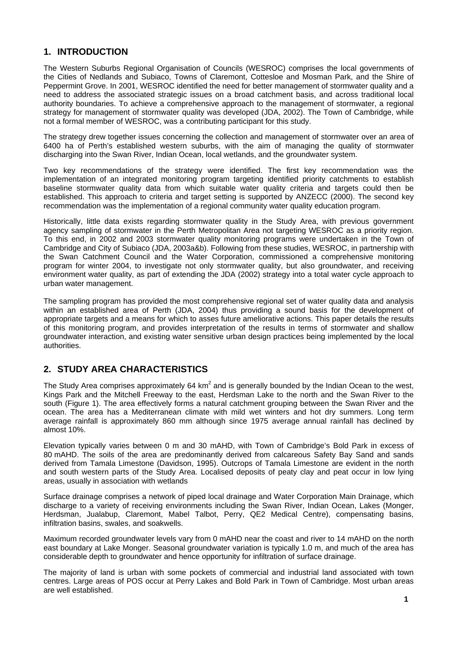### **1. INTRODUCTION**

The Western Suburbs Regional Organisation of Councils (WESROC) comprises the local governments of the Cities of Nedlands and Subiaco, Towns of Claremont, Cottesloe and Mosman Park, and the Shire of Peppermint Grove. In 2001, WESROC identified the need for better management of stormwater quality and a need to address the associated strategic issues on a broad catchment basis, and across traditional local authority boundaries. To achieve a comprehensive approach to the management of stormwater, a regional strategy for management of stormwater quality was developed (JDA, 2002). The Town of Cambridge, while not a formal member of WESROC, was a contributing participant for this study.

The strategy drew together issues concerning the collection and management of stormwater over an area of 6400 ha of Perth's established western suburbs, with the aim of managing the quality of stormwater discharging into the Swan River, Indian Ocean, local wetlands, and the groundwater system.

Two key recommendations of the strategy were identified. The first key recommendation was the implementation of an integrated monitoring program targeting identified priority catchments to establish baseline stormwater quality data from which suitable water quality criteria and targets could then be established. This approach to criteria and target setting is supported by ANZECC (2000). The second key recommendation was the implementation of a regional community water quality education program.

Historically, little data exists regarding stormwater quality in the Study Area, with previous government agency sampling of stormwater in the Perth Metropolitan Area not targeting WESROC as a priority region. To this end, in 2002 and 2003 stormwater quality monitoring programs were undertaken in the Town of Cambridge and City of Subiaco (JDA, 2003a&b). Following from these studies, WESROC, in partnership with the Swan Catchment Council and the Water Corporation, commissioned a comprehensive monitoring program for winter 2004, to investigate not only stormwater quality, but also groundwater, and receiving environment water quality, as part of extending the JDA (2002) strategy into a total water cycle approach to urban water management.

The sampling program has provided the most comprehensive regional set of water quality data and analysis within an established area of Perth (JDA, 2004) thus providing a sound basis for the development of appropriate targets and a means for which to asses future ameliorative actions. This paper details the results of this monitoring program, and provides interpretation of the results in terms of stormwater and shallow groundwater interaction, and existing water sensitive urban design practices being implemented by the local authorities.

# **2. STUDY AREA CHARACTERISTICS**

The Study Area comprises approximately 64 km<sup>2</sup> and is generally bounded by the Indian Ocean to the west, Kings Park and the Mitchell Freeway to the east, Herdsman Lake to the north and the Swan River to the south (Figure 1). The area effectively forms a natural catchment grouping between the Swan River and the ocean. The area has a Mediterranean climate with mild wet winters and hot dry summers. Long term average rainfall is approximately 860 mm although since 1975 average annual rainfall has declined by almost 10%.

Elevation typically varies between 0 m and 30 mAHD, with Town of Cambridge's Bold Park in excess of 80 mAHD. The soils of the area are predominantly derived from calcareous Safety Bay Sand and sands derived from Tamala Limestone (Davidson, 1995). Outcrops of Tamala Limestone are evident in the north and south western parts of the Study Area. Localised deposits of peaty clay and peat occur in low lying areas, usually in association with wetlands

Surface drainage comprises a network of piped local drainage and Water Corporation Main Drainage, which discharge to a variety of receiving environments including the Swan River, Indian Ocean, Lakes (Monger, Herdsman, Jualabup, Claremont, Mabel Talbot, Perry, QE2 Medical Centre), compensating basins, infiltration basins, swales, and soakwells.

Maximum recorded groundwater levels vary from 0 mAHD near the coast and river to 14 mAHD on the north east boundary at Lake Monger. Seasonal groundwater variation is typically 1.0 m, and much of the area has considerable depth to groundwater and hence opportunity for infiltration of surface drainage.

The majority of land is urban with some pockets of commercial and industrial land associated with town centres. Large areas of POS occur at Perry Lakes and Bold Park in Town of Cambridge. Most urban areas are well established.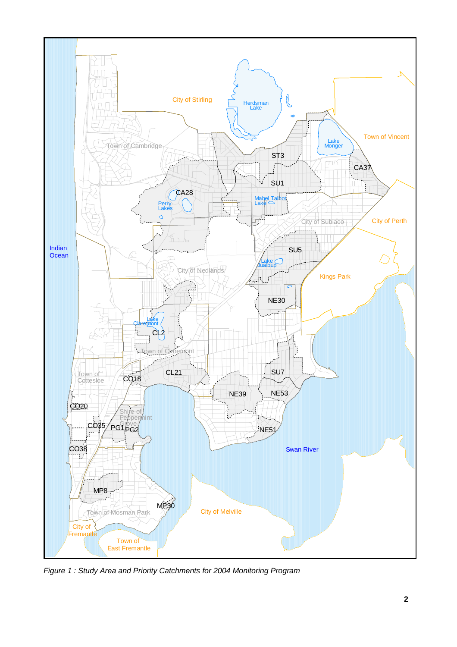

*Figure 1 : Study Area and Priority Catchments for 2004 Monitoring Program*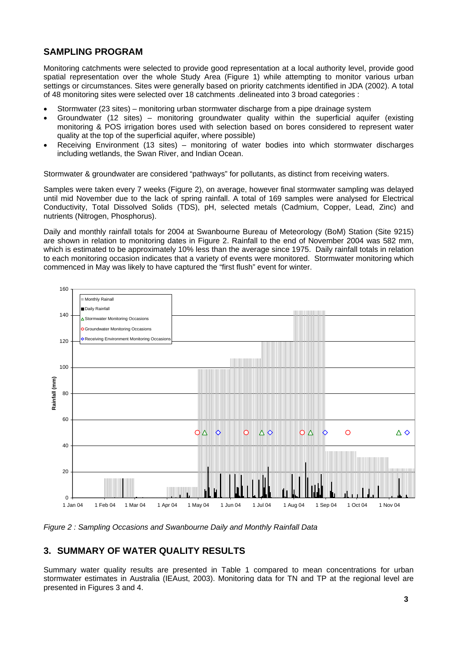### **SAMPLING PROGRAM**

Monitoring catchments were selected to provide good representation at a local authority level, provide good spatial representation over the whole Study Area (Figure 1) while attempting to monitor various urban settings or circumstances. Sites were generally based on priority catchments identified in JDA (2002). A total of 48 monitoring sites were selected over 18 catchments .delineated into 3 broad categories :

- Stormwater (23 sites) monitoring urban stormwater discharge from a pipe drainage system
- Groundwater (12 sites) monitoring groundwater quality within the superficial aquifer (existing monitoring & POS irrigation bores used with selection based on bores considered to represent water quality at the top of the superficial aquifer, where possible)
- Receiving Environment (13 sites) monitoring of water bodies into which stormwater discharges including wetlands, the Swan River, and Indian Ocean.

Stormwater & groundwater are considered "pathways" for pollutants, as distinct from receiving waters.

Samples were taken every 7 weeks (Figure 2), on average, however final stormwater sampling was delayed until mid November due to the lack of spring rainfall. A total of 169 samples were analysed for Electrical Conductivity, Total Dissolved Solids (TDS), pH, selected metals (Cadmium, Copper, Lead, Zinc) and nutrients (Nitrogen, Phosphorus).

Daily and monthly rainfall totals for 2004 at Swanbourne Bureau of Meteorology (BoM) Station (Site 9215) are shown in relation to monitoring dates in Figure 2. Rainfall to the end of November 2004 was 582 mm. which is estimated to be approximately 10% less than the average since 1975. Daily rainfall totals in relation to each monitoring occasion indicates that a variety of events were monitored. Stormwater monitoring which commenced in May was likely to have captured the "first flush" event for winter.



*Figure 2 : Sampling Occasions and Swanbourne Daily and Monthly Rainfall Data* 

## **3. SUMMARY OF WATER QUALITY RESULTS**

Summary water quality results are presented in Table 1 compared to mean concentrations for urban stormwater estimates in Australia (IEAust, 2003). Monitoring data for TN and TP at the regional level are presented in Figures 3 and 4.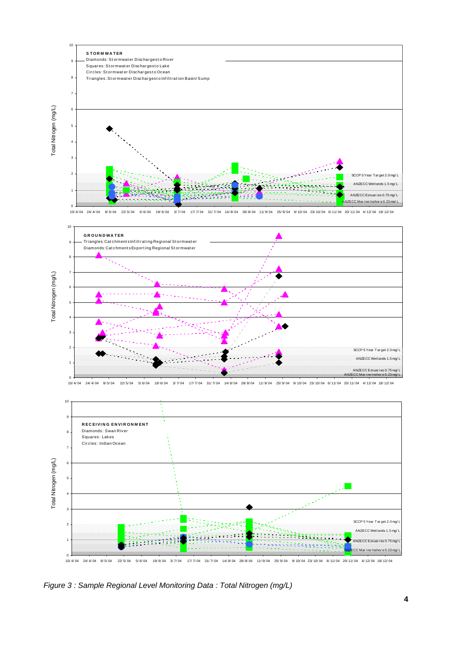



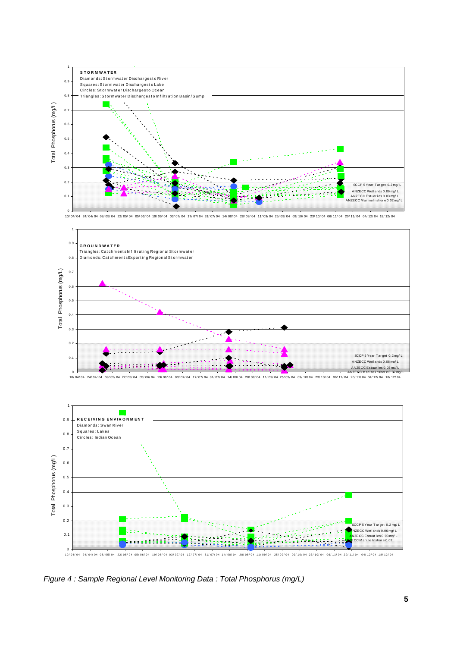

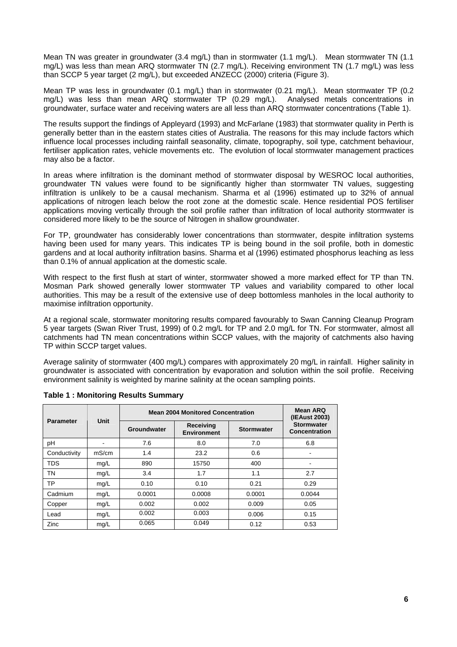Mean TN was greater in groundwater (3.4 mg/L) than in stormwater (1.1 mg/L). Mean stormwater TN (1.1 mg/L) was less than mean ARQ stormwater TN (2.7 mg/L). Receiving environment TN (1.7 mg/L) was less than SCCP 5 year target (2 mg/L), but exceeded ANZECC (2000) criteria (Figure 3).

Mean TP was less in groundwater (0.1 mg/L) than in stormwater (0.21 mg/L). Mean stormwater TP (0.2 mg/L) was less than mean ARQ stormwater TP (0.29 mg/L). Analysed metals concentrations in groundwater, surface water and receiving waters are all less than ARQ stormwater concentrations (Table 1).

The results support the findings of Appleyard (1993) and McFarlane (1983) that stormwater quality in Perth is generally better than in the eastern states cities of Australia. The reasons for this may include factors which influence local processes including rainfall seasonality, climate, topography, soil type, catchment behaviour, fertiliser application rates, vehicle movements etc. The evolution of local stormwater management practices may also be a factor.

In areas where infiltration is the dominant method of stormwater disposal by WESROC local authorities, groundwater TN values were found to be significantly higher than stormwater TN values, suggesting infiltration is unlikely to be a causal mechanism. Sharma et al (1996) estimated up to 32% of annual applications of nitrogen leach below the root zone at the domestic scale. Hence residential POS fertiliser applications moving vertically through the soil profile rather than infiltration of local authority stormwater is considered more likely to be the source of Nitrogen in shallow groundwater.

For TP, groundwater has considerably lower concentrations than stormwater, despite infiltration systems having been used for many years. This indicates TP is being bound in the soil profile, both in domestic gardens and at local authority infiltration basins. Sharma et al (1996) estimated phosphorus leaching as less than 0.1% of annual application at the domestic scale.

With respect to the first flush at start of winter, stormwater showed a more marked effect for TP than TN. Mosman Park showed generally lower stormwater TP values and variability compared to other local authorities. This may be a result of the extensive use of deep bottomless manholes in the local authority to maximise infiltration opportunity.

At a regional scale, stormwater monitoring results compared favourably to Swan Canning Cleanup Program 5 year targets (Swan River Trust, 1999) of 0.2 mg/L for TP and 2.0 mg/L for TN. For stormwater, almost all catchments had TN mean concentrations within SCCP values, with the majority of catchments also having TP within SCCP target values.

Average salinity of stormwater (400 mg/L) compares with approximately 20 mg/L in rainfall. Higher salinity in groundwater is associated with concentration by evaporation and solution within the soil profile. Receiving environment salinity is weighted by marine salinity at the ocean sampling points.

| <b>Parameter</b> | Unit  | <b>Mean 2004 Monitored Concentration</b> |                                 |                   | Mean ARQ<br>(IEAust 2003)          |
|------------------|-------|------------------------------------------|---------------------------------|-------------------|------------------------------------|
|                  |       | Groundwater                              | Receiving<br><b>Environment</b> | <b>Stormwater</b> | <b>Stormwater</b><br>Concentration |
| pН               |       | 7.6                                      | 8.0                             | 7.0               | 6.8                                |
| Conductivity     | mS/cm | 1.4                                      | 23.2                            | 0.6               |                                    |
| <b>TDS</b>       | mg/L  | 890                                      | 15750                           | 400               |                                    |
| ΤN               | mg/L  | 3.4                                      | 1.7                             | 1.1               | 2.7                                |
| ТP               | mg/L  | 0.10                                     | 0.10                            | 0.21              | 0.29                               |
| Cadmium          | mg/L  | 0.0001                                   | 0.0008                          | 0.0001            | 0.0044                             |
| Copper           | mg/L  | 0.002                                    | 0.002                           | 0.009             | 0.05                               |
| Lead             | mg/L  | 0.002                                    | 0.003                           | 0.006             | 0.15                               |
| Zinc             | mg/L  | 0.065                                    | 0.049                           | 0.12              | 0.53                               |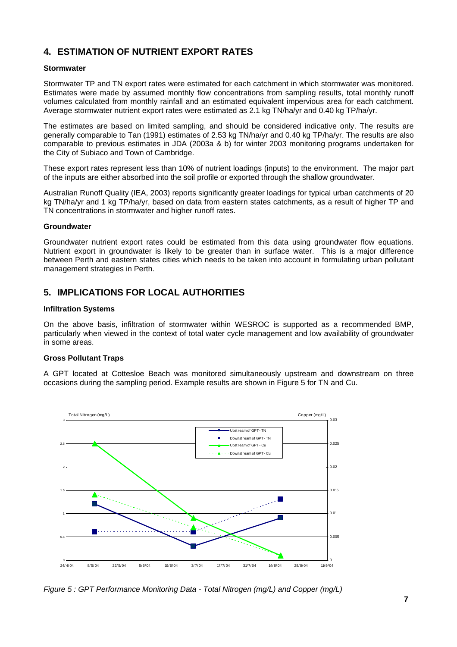# **4. ESTIMATION OF NUTRIENT EXPORT RATES**

#### **Stormwater**

Stormwater TP and TN export rates were estimated for each catchment in which stormwater was monitored. Estimates were made by assumed monthly flow concentrations from sampling results, total monthly runoff volumes calculated from monthly rainfall and an estimated equivalent impervious area for each catchment. Average stormwater nutrient export rates were estimated as 2.1 kg TN/ha/yr and 0.40 kg TP/ha/yr.

The estimates are based on limited sampling, and should be considered indicative only. The results are generally comparable to Tan (1991) estimates of 2.53 kg TN/ha/yr and 0.40 kg TP/ha/yr. The results are also comparable to previous estimates in JDA (2003a & b) for winter 2003 monitoring programs undertaken for the City of Subiaco and Town of Cambridge.

These export rates represent less than 10% of nutrient loadings (inputs) to the environment. The major part of the inputs are either absorbed into the soil profile or exported through the shallow groundwater.

Australian Runoff Quality (IEA, 2003) reports significantly greater loadings for typical urban catchments of 20 kg TN/ha/yr and 1 kg TP/ha/yr, based on data from eastern states catchments, as a result of higher TP and TN concentrations in stormwater and higher runoff rates.

#### **Groundwater**

Groundwater nutrient export rates could be estimated from this data using groundwater flow equations. Nutrient export in groundwater is likely to be greater than in surface water. This is a major difference between Perth and eastern states cities which needs to be taken into account in formulating urban pollutant management strategies in Perth.

### **5. IMPLICATIONS FOR LOCAL AUTHORITIES**

#### **Infiltration Systems**

On the above basis, infiltration of stormwater within WESROC is supported as a recommended BMP, particularly when viewed in the context of total water cycle management and low availability of groundwater in some areas.

### **Gross Pollutant Traps**

A GPT located at Cottesloe Beach was monitored simultaneously upstream and downstream on three occasions during the sampling period. Example results are shown in Figure 5 for TN and Cu.



*Figure 5 : GPT Performance Monitoring Data - Total Nitrogen (mg/L) and Copper (mg/L)*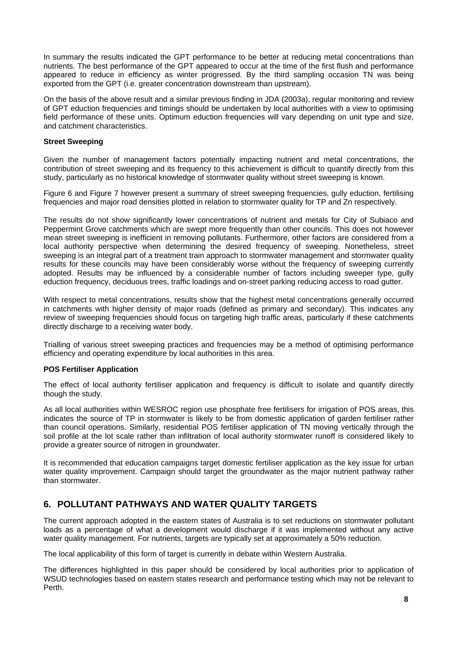In summary the results indicated the GPT performance to be better at reducing metal concentrations than nutrients. The best performance of the GPT appeared to occur at the time of the first flush and performance appeared to reduce in efficiency as winter progressed. By the third sampling occasion TN was being exported from the GPT (i.e. greater concentration downstream than upstream).

On the basis of the above result and a similar previous finding in JDA (2003a), regular monitoring and review of GPT eduction frequencies and timings should be undertaken by local authorities with a view to optimising field performance of these units. Optimum eduction frequencies will vary depending on unit type and size, and catchment characteristics.

### **Street Sweeping**

Given the number of management factors potentially impacting nutrient and metal concentrations, the contribution of street sweeping and its frequency to this achievement is difficult to quantify directly from this study, particularly as no historical knowledge of stormwater quality without street sweeping is known.

Figure 6 and Figure 7 however present a summary of street sweeping frequencies, gully eduction, fertilising frequencies and major road densities plotted in relation to stormwater quality for TP and Zn respectively.

The results do not show significantly lower concentrations of nutrient and metals for City of Subiaco and Peppermint Grove catchments which are swept more frequently than other councils. This does not however mean street sweeping is inefficient in removing pollutants. Furthermore, other factors are considered from a local authority perspective when determining the desired frequency of sweeping. Nonetheless, street sweeping is an integral part of a treatment train approach to stormwater management and stormwater quality results for these councils may have been considerably worse without the frequency of sweeping currently adopted. Results may be influenced by a considerable number of factors including sweeper type, gully eduction frequency, deciduous trees, traffic loadings and on-street parking reducing access to road gutter.

With respect to metal concentrations, results show that the highest metal concentrations generally occurred in catchments with higher density of major roads (defined as primary and secondary). This indicates any review of sweeping frequencies should focus on targeting high traffic areas, particularly if these catchments directly discharge to a receiving water body.

Trialling of various street sweeping practices and frequencies may be a method of optimising performance efficiency and operating expenditure by local authorities in this area.

### **POS Fertiliser Application**

The effect of local authority fertiliser application and frequency is difficult to isolate and quantify directly though the study.

As all local authorities within WESROC region use phosphate free fertilisers for irrigation of POS areas, this indicates the source of TP in stormwater is likely to be from domestic application of garden fertiliser rather than council operations. Similarly, residential POS fertiliser application of TN moving vertically through the soil profile at the lot scale rather than infiltration of local authority stormwater runoff is considered likely to provide a greater source of nitrogen in groundwater.

It is recommended that education campaigns target domestic fertiliser application as the key issue for urban water quality improvement. Campaign should target the groundwater as the major nutrient pathway rather than stormwater.

# **6. POLLUTANT PATHWAYS AND WATER QUALITY TARGETS**

The current approach adopted in the eastern states of Australia is to set reductions on stormwater pollutant loads as a percentage of what a development would discharge if it was implemented without any active water quality management. For nutrients, targets are typically set at approximately a 50% reduction.

The local applicability of this form of target is currently in debate within Western Australia.

The differences highlighted in this paper should be considered by local authorities prior to application of WSUD technologies based on eastern states research and performance testing which may not be relevant to Perth.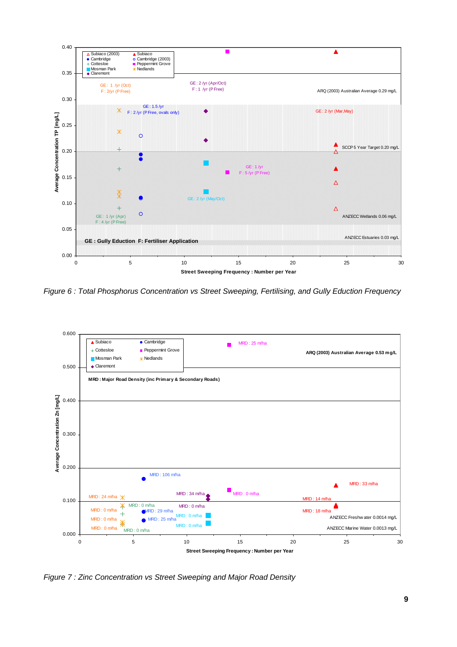

*Figure 6 : Total Phosphorus Concentration vs Street Sweeping, Fertilising, and Gully Eduction Frequency* 



*Figure 7 : Zinc Concentration vs Street Sweeping and Major Road Density*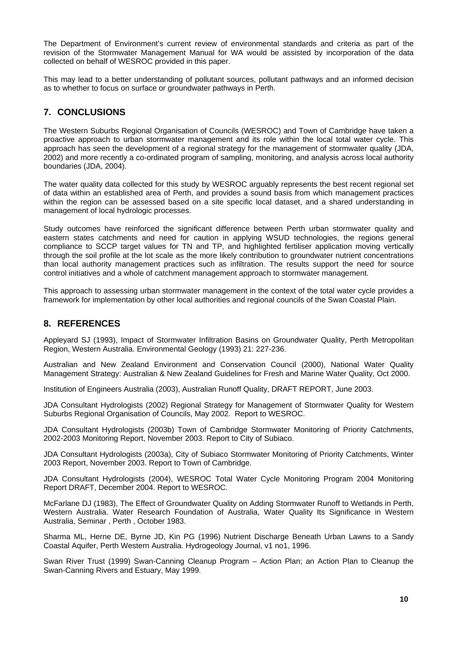The Department of Environment's current review of environmental standards and criteria as part of the revision of the Stormwater Management Manual for WA would be assisted by incorporation of the data collected on behalf of WESROC provided in this paper.

This may lead to a better understanding of pollutant sources, pollutant pathways and an informed decision as to whether to focus on surface or groundwater pathways in Perth.

# **7. CONCLUSIONS**

The Western Suburbs Regional Organisation of Councils (WESROC) and Town of Cambridge have taken a proactive approach to urban stormwater management and its role within the local total water cycle. This approach has seen the development of a regional strategy for the management of stormwater quality (JDA, 2002) and more recently a co-ordinated program of sampling, monitoring, and analysis across local authority boundaries (JDA, 2004).

The water quality data collected for this study by WESROC arguably represents the best recent regional set of data within an established area of Perth, and provides a sound basis from which management practices within the region can be assessed based on a site specific local dataset, and a shared understanding in management of local hydrologic processes.

Study outcomes have reinforced the significant difference between Perth urban stormwater quality and eastern states catchments and need for caution in applying WSUD technologies, the regions general compliance to SCCP target values for TN and TP, and highlighted fertiliser application moving vertically through the soil profile at the lot scale as the more likely contribution to groundwater nutrient concentrations than local authority management practices such as infiltration. The results support the need for source control initiatives and a whole of catchment management approach to stormwater management.

This approach to assessing urban stormwater management in the context of the total water cycle provides a framework for implementation by other local authorities and regional councils of the Swan Coastal Plain.

# **8. REFERENCES**

Appleyard SJ (1993), Impact of Stormwater Infiltration Basins on Groundwater Quality, Perth Metropolitan Region, Western Australia. Environmental Geology (1993) 21: 227-236.

Australian and New Zealand Environment and Conservation Council (2000), National Water Quality Management Strategy: Australian & New Zealand Guidelines for Fresh and Marine Water Quality, Oct 2000.

Institution of Engineers Australia (2003), Australian Runoff Quality, DRAFT REPORT, June 2003.

JDA Consultant Hydrologists (2002) Regional Strategy for Management of Stormwater Quality for Western Suburbs Regional Organisation of Councils, May 2002. Report to WESROC.

JDA Consultant Hydrologists (2003b) Town of Cambridge Stormwater Monitoring of Priority Catchments, 2002-2003 Monitoring Report, November 2003. Report to City of Subiaco.

JDA Consultant Hydrologists (2003a), City of Subiaco Stormwater Monitoring of Priority Catchments, Winter 2003 Report, November 2003. Report to Town of Cambridge.

JDA Consultant Hydrologists (2004), WESROC Total Water Cycle Monitoring Program 2004 Monitoring Report DRAFT, December 2004. Report to WESROC.

McFarlane DJ (1983), The Effect of Groundwater Quality on Adding Stormwater Runoff to Wetlands in Perth, Western Australia. Water Research Foundation of Australia, Water Quality Its Significance in Western Australia, Seminar , Perth , October 1983.

Sharma ML, Herne DE, Byrne JD, Kin PG (1996) Nutrient Discharge Beneath Urban Lawns to a Sandy Coastal Aquifer, Perth Western Australia. Hydrogeology Journal, v1 no1, 1996.

Swan River Trust (1999) Swan-Canning Cleanup Program – Action Plan; an Action Plan to Cleanup the Swan-Canning Rivers and Estuary, May 1999.